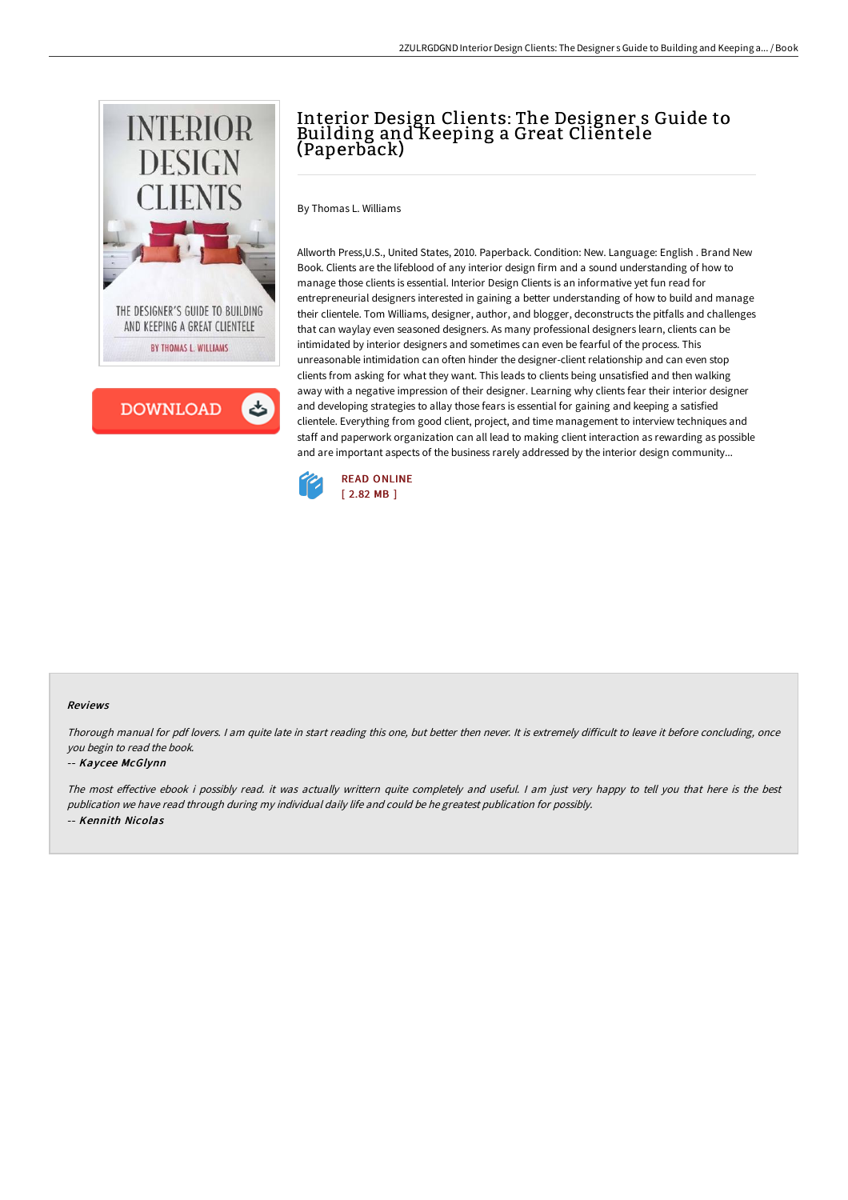



# Interior Design Clients: The Designer s Guide to Building and Keeping a Great Clientele (Paperback)

By Thomas L. Williams

Allworth Press,U.S., United States, 2010. Paperback. Condition: New. Language: English . Brand New Book. Clients are the lifeblood of any interior design firm and a sound understanding of how to manage those clients is essential. Interior Design Clients is an informative yet fun read for entrepreneurial designers interested in gaining a better understanding of how to build and manage their clientele. Tom Williams, designer, author, and blogger, deconstructs the pitfalls and challenges that can waylay even seasoned designers. As many professional designers learn, clients can be intimidated by interior designers and sometimes can even be fearful of the process. This unreasonable intimidation can often hinder the designer-client relationship and can even stop clients from asking for what they want. This leads to clients being unsatisfied and then walking away with a negative impression of their designer. Learning why clients fear their interior designer and developing strategies to allay those fears is essential for gaining and keeping a satisfied clientele. Everything from good client, project, and time management to interview techniques and staff and paperwork organization can all lead to making client interaction as rewarding as possible and are important aspects of the business rarely addressed by the interior design community...



#### Reviews

Thorough manual for pdf lovers. I am quite late in start reading this one, but better then never. It is extremely difficult to leave it before concluding, once you begin to read the book.

### -- Kaycee McGlynn

The most effective ebook i possibly read. it was actually writtern quite completely and useful. I am just very happy to tell you that here is the best publication we have read through during my individual daily life and could be he greatest publication for possibly. -- Kennith Nicolas